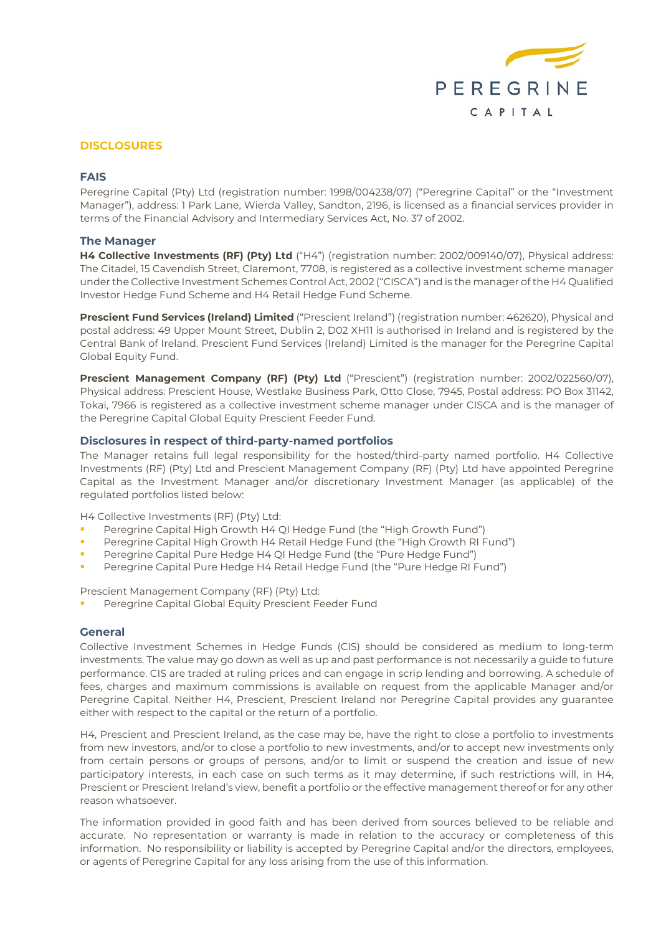

# **DISCLOSURES**

## **FAIS**

Peregrine Capital (Pty) Ltd (registration number: 1998/004238/07) ("Peregrine Capital" or the "Investment Manager"), address: 1 Park Lane, Wierda Valley, Sandton, 2196, is licensed as a financial services provider in terms of the Financial Advisory and Intermediary Services Act, No. 37 of 2002.

# **The Manager**

**H4 Collective Investments (RF) (Pty) Ltd** ("H4") (registration number: 2002/009140/07), Physical address: The Citadel, 15 Cavendish Street, Claremont, 7708, is registered as a collective investment scheme manager under the Collective Investment Schemes Control Act, 2002 ("CISCA") and is the manager of the H4 Qualified Investor Hedge Fund Scheme and H4 Retail Hedge Fund Scheme.

**Prescient Fund Services (Ireland) Limited** ("Prescient Ireland") (registration number: 462620), Physical and postal address: 49 Upper Mount Street, Dublin 2, D02 XH11 is authorised in Ireland and is registered by the Central Bank of Ireland. Prescient Fund Services (Ireland) Limited is the manager for the Peregrine Capital Global Equity Fund.

**Prescient Management Company (RF) (Pty) Ltd** ("Prescient") (registration number: 2002/022560/07), Physical address: Prescient House, Westlake Business Park, Otto Close, 7945, Postal address: PO Box 31142, Tokai, 7966 is registered as a collective investment scheme manager under CISCA and is the manager of the Peregrine Capital Global Equity Prescient Feeder Fund.

# **Disclosures in respect of third-party-named portfolios**

The Manager retains full legal responsibility for the hosted/third-party named portfolio. H4 Collective Investments (RF) (Pty) Ltd and Prescient Management Company (RF) (Pty) Ltd have appointed Peregrine Capital as the Investment Manager and/or discretionary Investment Manager (as applicable) of the regulated portfolios listed below:

H4 Collective Investments (RF) (Pty) Ltd:

- Peregrine Capital High Growth H4 QI Hedge Fund (the "High Growth Fund")
- Peregrine Capital High Growth H4 Retail Hedge Fund (the "High Growth RI Fund")
- Peregrine Capital Pure Hedge H4 QI Hedge Fund (the "Pure Hedge Fund")
- Peregrine Capital Pure Hedge H4 Retail Hedge Fund (the "Pure Hedge RI Fund")

Prescient Management Company (RF) (Pty) Ltd:

Peregrine Capital Global Equity Prescient Feeder Fund

### **General**

Collective Investment Schemes in Hedge Funds (CIS) should be considered as medium to long-term investments. The value may go down as well as up and past performance is not necessarily a guide to future performance. CIS are traded at ruling prices and can engage in scrip lending and borrowing. A schedule of fees, charges and maximum commissions is available on request from the applicable Manager and/or Peregrine Capital. Neither H4, Prescient, Prescient Ireland nor Peregrine Capital provides any guarantee either with respect to the capital or the return of a portfolio.

H4, Prescient and Prescient Ireland, as the case may be, have the right to close a portfolio to investments from new investors, and/or to close a portfolio to new investments, and/or to accept new investments only from certain persons or groups of persons, and/or to limit or suspend the creation and issue of new participatory interests, in each case on such terms as it may determine, if such restrictions will, in H4, Prescient or Prescient Ireland's view, benefit a portfolio or the effective management thereof or for any other reason whatsoever.

The information provided in good faith and has been derived from sources believed to be reliable and accurate. No representation or warranty is made in relation to the accuracy or completeness of this information. No responsibility or liability is accepted by Peregrine Capital and/or the directors, employees, or agents of Peregrine Capital for any loss arising from the use of this information.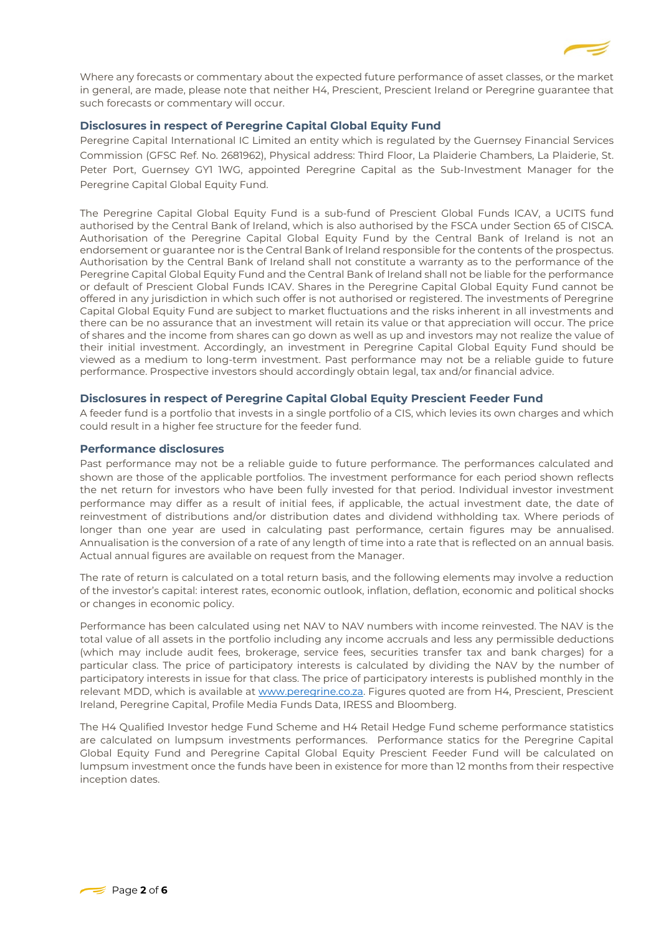

Where any forecasts or commentary about the expected future performance of asset classes, or the market in general, are made, please note that neither H4, Prescient, Prescient Ireland or Peregrine guarantee that such forecasts or commentary will occur.

# **Disclosures in respect of Peregrine Capital Global Equity Fund**

Peregrine Capital International IC Limited an entity which is regulated by the Guernsey Financial Services Commission (GFSC Ref. No. 2681962), Physical address: Third Floor, La Plaiderie Chambers, La Plaiderie, St. Peter Port, Guernsey GY1 1WG, appointed Peregrine Capital as the Sub-Investment Manager for the Peregrine Capital Global Equity Fund.

The Peregrine Capital Global Equity Fund is a sub-fund of Prescient Global Funds ICAV, a UCITS fund authorised by the Central Bank of Ireland, which is also authorised by the FSCA under Section 65 of CISCA. Authorisation of the Peregrine Capital Global Equity Fund by the Central Bank of Ireland is not an endorsement or guarantee nor is the Central Bank of Ireland responsible for the contents of the prospectus. Authorisation by the Central Bank of Ireland shall not constitute a warranty as to the performance of the Peregrine Capital Global Equity Fund and the Central Bank of Ireland shall not be liable for the performance or default of Prescient Global Funds ICAV. Shares in the Peregrine Capital Global Equity Fund cannot be offered in any jurisdiction in which such offer is not authorised or registered. The investments of Peregrine Capital Global Equity Fund are subject to market fluctuations and the risks inherent in all investments and there can be no assurance that an investment will retain its value or that appreciation will occur. The price of shares and the income from shares can go down as well as up and investors may not realize the value of their initial investment. Accordingly, an investment in Peregrine Capital Global Equity Fund should be viewed as a medium to long-term investment. Past performance may not be a reliable guide to future performance. Prospective investors should accordingly obtain legal, tax and/or financial advice.

### **Disclosures in respect of Peregrine Capital Global Equity Prescient Feeder Fund**

A feeder fund is a portfolio that invests in a single portfolio of a CIS, which levies its own charges and which could result in a higher fee structure for the feeder fund.

# **Performance disclosures**

Past performance may not be a reliable guide to future performance. The performances calculated and shown are those of the applicable portfolios. The investment performance for each period shown reflects the net return for investors who have been fully invested for that period. Individual investor investment performance may differ as a result of initial fees, if applicable, the actual investment date, the date of reinvestment of distributions and/or distribution dates and dividend withholding tax. Where periods of longer than one year are used in calculating past performance, certain figures may be annualised. Annualisation is the conversion of a rate of any length of time into a rate that is reflected on an annual basis. Actual annual figures are available on request from the Manager.

The rate of return is calculated on a total return basis, and the following elements may involve a reduction of the investor's capital: interest rates, economic outlook, inflation, deflation, economic and political shocks or changes in economic policy.

Performance has been calculated using net NAV to NAV numbers with income reinvested. The NAV is the total value of all assets in the portfolio including any income accruals and less any permissible deductions (which may include audit fees, brokerage, service fees, securities transfer tax and bank charges) for a particular class. The price of participatory interests is calculated by dividing the NAV by the number of participatory interests in issue for that class. The price of participatory interests is published monthly in the relevant MDD, which is available at [www.peregrine.co.za.](http://www.peregrine.co.za/) Figures quoted are from H4, Prescient, Prescient Ireland, Peregrine Capital, Profile Media Funds Data, IRESS and Bloomberg.

The H4 Qualified Investor hedge Fund Scheme and H4 Retail Hedge Fund scheme performance statistics are calculated on lumpsum investments performances. Performance statics for the Peregrine Capital Global Equity Fund and Peregrine Capital Global Equity Prescient Feeder Fund will be calculated on lumpsum investment once the funds have been in existence for more than 12 months from their respective inception dates.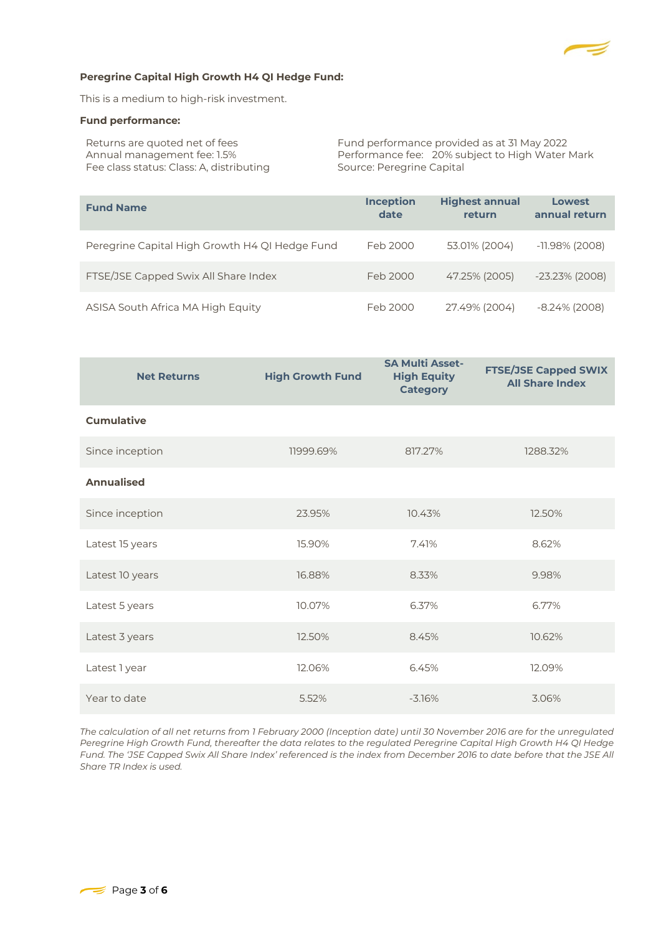

## **Peregrine Capital High Growth H4 QI Hedge Fund:**

This is a medium to high-risk investment.

#### **Fund performance:**

| Returns are quoted net of fees           | Fund performance provided as at 31 May 2022     |
|------------------------------------------|-------------------------------------------------|
| Annual management fee: 1.5%              | Performance fee: 20% subject to High Water Mark |
| Fee class status: Class: A, distributing | Source: Peregrine Capital                       |

| <b>Fund Name</b>                               | <b>Inception</b><br>date | <b>Highest annual</b><br>return | Lowest<br>annual return |
|------------------------------------------------|--------------------------|---------------------------------|-------------------------|
| Peregrine Capital High Growth H4 QI Hedge Fund | Feb 2000                 | 53.01% (2004)                   | $-11.98\%$ (2008)       |
| FTSE/JSE Capped Swix All Share Index           | Feb 2000                 | 47.25% (2005)                   | $-23.23\%$ (2008)       |
| ASISA South Africa MA High Equity              | Feb 2000                 | 27.49% (2004)                   | $-8.24\%$ (2008)        |

| <b>Net Returns</b> | <b>High Growth Fund</b> | <b>SA Multi Asset-</b><br><b>High Equity</b><br><b>Category</b> | <b>FTSE/JSE Capped SWIX</b><br><b>All Share Index</b> |
|--------------------|-------------------------|-----------------------------------------------------------------|-------------------------------------------------------|
| <b>Cumulative</b>  |                         |                                                                 |                                                       |
| Since inception    | 11999.69%               | 817.27%                                                         | 1288.32%                                              |
| <b>Annualised</b>  |                         |                                                                 |                                                       |
| Since inception    | 23.95%                  | 10.43%                                                          | 12.50%                                                |
| Latest 15 years    | 15.90%                  | 7.41%                                                           | 8.62%                                                 |
| Latest 10 years    | 16.88%                  | 8.33%                                                           | 9.98%                                                 |
| Latest 5 years     | 10.07%                  | 6.37%                                                           | 6.77%                                                 |
| Latest 3 years     | 12.50%                  | 8.45%                                                           | 10.62%                                                |
| Latest 1 year      | 12.06%                  | 6.45%                                                           | 12.09%                                                |
| Year to date       | 5.52%                   | $-3.16%$                                                        | 3.06%                                                 |

*The calculation of all net returns from 1 February 2000 (Inception date) until 30 November 2016 are for the unregulated Peregrine High Growth Fund, thereafter the data relates to the regulated Peregrine Capital High Growth H4 QI Hedge Fund. The 'JSE Capped Swix All Share Index' referenced is the index from December 2016 to date before that the JSE All Share TR Index is used.*

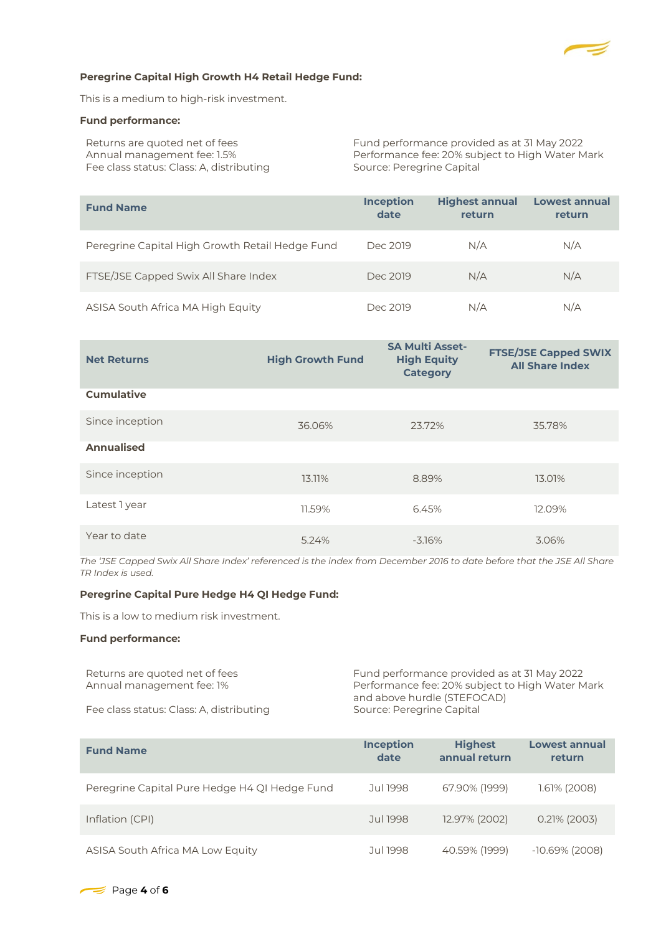

#### **Peregrine Capital High Growth H4 Retail Hedge Fund:**

This is a medium to high-risk investment.

#### **Fund performance:**

Fee class status: Class: A, distributing

Returns are quoted net of fees Fund performance provided as at 31 May 2022 Annual management fee: 1.5% Performance fee: 20% subject to High Water Mark<br>Fee class status: Class: A, distributing Source: Peregrine Capital

| <b>Fund Name</b>                                | <b>Inception</b><br>date | <b>Highest annual</b><br>return | Lowest annual<br>return |
|-------------------------------------------------|--------------------------|---------------------------------|-------------------------|
| Peregrine Capital High Growth Retail Hedge Fund | Dec 2019                 | N/A                             | N/A                     |
| FTSE/JSE Capped Swix All Share Index            | Dec 2019                 | N/A                             | N/A                     |
| ASISA South Africa MA High Equity               | Dec 2019                 | N/A                             | N/A                     |

| <b>Net Returns</b> | <b>High Growth Fund</b> | <b>SA Multi Asset-</b><br><b>High Equity</b><br><b>Category</b> | <b>FTSE/JSE Capped SWIX</b><br><b>All Share Index</b> |
|--------------------|-------------------------|-----------------------------------------------------------------|-------------------------------------------------------|
| <b>Cumulative</b>  |                         |                                                                 |                                                       |
| Since inception    | 36.06%                  | 23.72%                                                          | 35.78%                                                |
| <b>Annualised</b>  |                         |                                                                 |                                                       |
| Since inception    | 13.11%                  | 8.89%                                                           | 13.01%                                                |
| Latest 1 year      | 11.59%                  | 6.45%                                                           | 12.09%                                                |
| Year to date       | 5.24%                   | $-3.16%$                                                        | 3.06%                                                 |

*The 'JSE Capped Swix All Share Index' referenced is the index from December 2016 to date before that the JSE All Share TR Index is used.*

## **Peregrine Capital Pure Hedge H4 QI Hedge Fund:**

This is a low to medium risk investment.

### **Fund performance:**

Returns are quoted net of fees Fund performance provided as at 31 May 2022 Annual management fee: 1% Performance fee: 20% subject to High Water Mark and above hurdle (STEFOCAD) Fee class status: Class: A, distributing Source: Peregrine Capital

| <b>Fund Name</b>                              | <b>Inception</b><br>date | <b>Highest</b><br>annual return | Lowest annual<br>return |
|-----------------------------------------------|--------------------------|---------------------------------|-------------------------|
| Peregrine Capital Pure Hedge H4 QI Hedge Fund | Jul 1998                 | 67.90% (1999)                   | $1.61\%$ (2008)         |
| Inflation (CPI)                               | Jul 1998                 | 12.97% (2002)                   | $0.21\%$ (2003)         |
| ASISA South Africa MA Low Equity              | Jul 1998                 | 40.59% (1999)                   | $-10.69\%$ (2008)       |

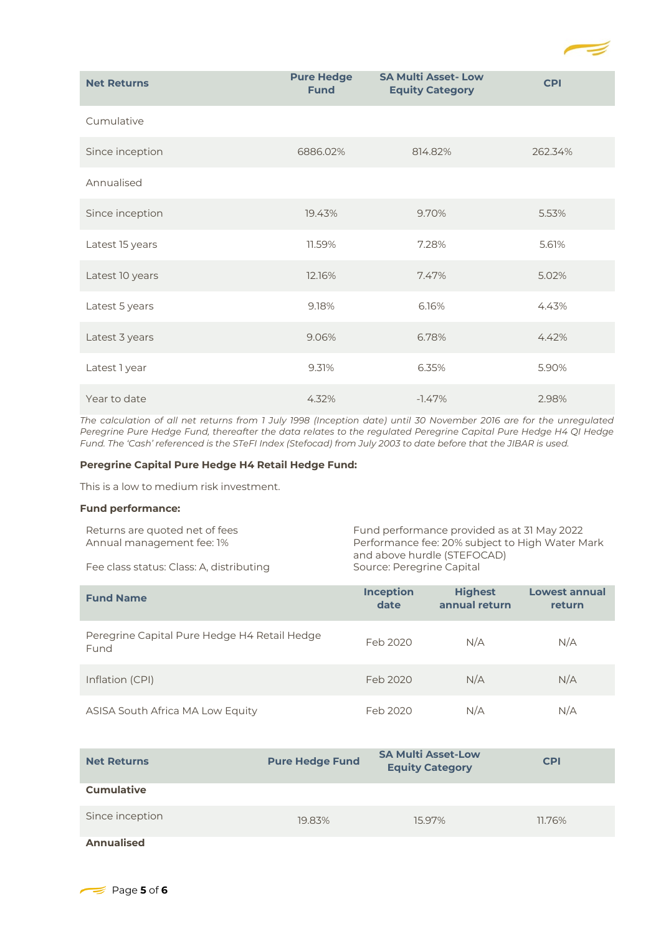

| <b>Net Returns</b> | <b>Pure Hedge</b><br><b>Fund</b> | <b>SA Multi Asset-Low</b><br><b>Equity Category</b> | <b>CPI</b> |
|--------------------|----------------------------------|-----------------------------------------------------|------------|
| Cumulative         |                                  |                                                     |            |
| Since inception    | 6886.02%                         | 814.82%                                             | 262.34%    |
| Annualised         |                                  |                                                     |            |
| Since inception    | 19.43%                           | 9.70%                                               | 5.53%      |
| Latest 15 years    | 11.59%                           | 7.28%                                               | 5.61%      |
| Latest 10 years    | 12.16%                           | 7.47%                                               | 5.02%      |
| Latest 5 years     | 9.18%                            | 6.16%                                               | 4.43%      |
| Latest 3 years     | 9.06%                            | 6.78%                                               | 4.42%      |
| Latest 1 year      | 9.31%                            | 6.35%                                               | 5.90%      |
| Year to date       | 4.32%                            | $-1.47%$                                            | 2.98%      |

*The calculation of all net returns from 1 July 1998 (Inception date) until 30 November 2016 are for the unregulated Peregrine Pure Hedge Fund, thereafter the data relates to the regulated Peregrine Capital Pure Hedge H4 QI Hedge Fund. The 'Cash' referenced is the STeFI Index (Stefocad) from July 2003 to date before that the JIBAR is used.* 

## **Peregrine Capital Pure Hedge H4 Retail Hedge Fund:**

This is a low to medium risk investment.

### **Fund performance:**

| Returns are quoted net of fees           | Fund performance provided as at 31 May 2022     |
|------------------------------------------|-------------------------------------------------|
| Annual management fee: 1%                | Performance fee: 20% subject to High Water Mark |
|                                          | and above hurdle (STEFOCAD)                     |
| Fee class status: Class: A, distributing | Source: Peregrine Capital                       |

| <b>Fund Name</b>                                     | <b>Inception</b><br>date | <b>Highest</b><br>annual return | <b>Lowest annual</b><br>return |
|------------------------------------------------------|--------------------------|---------------------------------|--------------------------------|
| Peregrine Capital Pure Hedge H4 Retail Hedge<br>Fund | Feb 2020                 | N/A                             | N/A                            |
| Inflation (CPI)                                      | Feb 2020                 | N/A                             | N/A                            |
| ASISA South Africa MA Low Equity                     | Feb 2020                 | N/A                             | N/A                            |

| <b>Net Returns</b> | <b>Pure Hedge Fund</b> | <b>SA Multi Asset-Low</b><br><b>Equity Category</b> | <b>CPI</b> |
|--------------------|------------------------|-----------------------------------------------------|------------|
| <b>Cumulative</b>  |                        |                                                     |            |
| Since inception    | 19.83%                 | 15.97%                                              | 11.76%     |
| Annualised         |                        |                                                     |            |